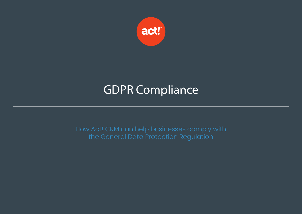

# GDPR Compliance

How Act! CRM can help businesses comply with the General Data Protection Regulation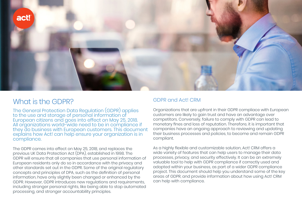

## What is the GDPR?

The General Protection Data Regulation (GDPR) applies to the use and storage of personal information of European citizens and goes into effect on May 25, 2018. All organizations world-wide need to be in compliance if they do business with European customers. This document explains how Act! can help ensure your organization is in compliance.

The GDPR comes into effect on May 25, 2018, and replaces the previous UK Data Protection Act (DPA), established in 1998. The GDPR will ensure that all companies that use personal information of European residents only do so in accordance with the privacy and other standards set out in the GDPR. Some of the original regulatory concepts and principles of DPA, such as the definition of personal information, have only slightly been changed or enhanced by the GDPR. However, GDPR introduces new regulations and requirements, including stronger personal rights, like being able to stop automated processing, and stronger accountability principles.

### GDPR and Act! CRM

Organizations that are upfront in their GDPR compliace with European customers are likely to gain trust and have an advantage over competitors. Conversely, failure to comply with GDPR can lead to monetary fines and loss of reputation. Therefore, it is important that companies have an ongoing approach to reviewing and updating their business processes and policies, to become and remain GDPR compliant.

As a highly flexible and customizable solution, Act! CRM offers a wide variety of features that can help users to manage their data processes, privacy, and security effectively. It can be an extremely valuable tool to help with GDPR compliance if correctly used and adopted within your business, as part of a wider GDPR compliance project. This document should help you understand some of the key areas of GDPR, and provide information about how using Act! CRM can help with compliance.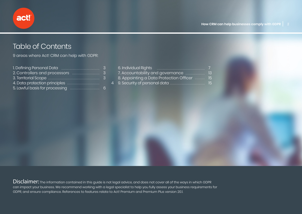## Table of Contents

9 areas where Act! CRM can help with GDPR:

|  | 6. Individual Rights                        |      |
|--|---------------------------------------------|------|
|  | 7. Accountability and governance            | - 13 |
|  | 8. Appointing a Data Protection Officer  15 |      |
|  |                                             | -lb  |

Disclaimer: The information contained in this guide is not legal advice, and does not cover all of the ways in which GDPR can impact your business. We recommend working with a legal specialist to help you fully assess your business requirements for GDPR, and ensure compliance. References to features relate to Act! Premium and Premium Plus version 20.1.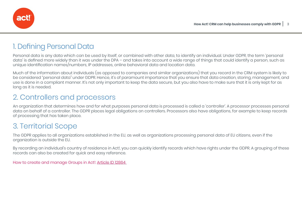

## 1. Defining Personal Data

Personal data is any data which can be used by itself, or combined with other data, to identify an individual. Under GDPR, the term 'personal data' is defined more widely than it was under the DPA – and takes into account a wide range of things that could identify a person, such as unique identification names/numbers, IP addresses, online behavioral data and location data.

Much of the information about individuals (as opposed to companies and similar organizations) that you record in the CRM system is likely to be considered "personal data" under GDPR. Hence, it's of paramount importance that you ensure that data creation, storing, management, and use is done in a compliant manner. It's not only important to keep the data secure, but you also have to make sure that it is only kept for as long as it is needed.

## 2. Controllers and processors

An organization that determines how and for what purposes personal data is processed is called a 'controller'. A processor processes personal data on behalf of a controller. The GDPR places legal obligations on controllers. Processors also have obligations, for example to keep records of processing that has taken place.

## 3. Territorial Scope

The GDPR applies to all organizations established in the EU, as well as organizations processing personal data of EU citizens, even if the organization is outside the EU.

By recording an individual's country of residence in Act!, you can quickly identify records which have rights under the GDPR. A grouping of these records can also be created for quick and easy reference.

How to create and manage Groups in Act!: Article ID 12864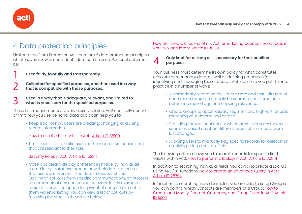

## 4. Data protection principles

Similar to the Data Protection Act, there are 6 data protection principles which govern how an individual's data can be used. Personal data must be:

1

**Used fairly, lawfully and transparently.**

 **Collected for specified purposes, and then used in a way that is compatible with those purposes.**  2

 **Used in a way that is adequate, relevant, and limited to what is necessary for the specified purposes.** 3

These first requirements are very closely related. Act! can't fully control or limit how you use personal data, but it can help you to:

 • Keep track of how users are creating, changing and using record information.

How to use the History List in Act!: Article ID 36109

 • Limit access for specific users to the records or specific fields that are relevant to their role.

Security Roles in Act!: Article ID 15284

 • Store and clearly display preferences made by individuals stored in the database around how their data is used, so that users can work with the data in respect of this. Opt-ins or opt-outs from specific communications, or interests so communications can be kept relevant. In this example recipients have the option to opt-out of campaigns sent to them via emarketing. You can view a list of opt-outs by following the steps in the article below:

How do I create a lookup of my Act! emarketing bounces or opt outs in Act! v17.2 and later?: Article ID 38139

#### **Only kept for as long as is necessary for the specified purposes.** 4

Your business must determine its own policy for what constitutes obsolete or redundant data, as well as defining processes for identifying and managing these records. Act! can help you put this into practice in a number of ways:

- Automatically recording the Create Date and Last Edit Date of each record, which can easily be searched or filtered on to determine record age and ongoing relevance.
- Create groups to automatically segment and highlight records matching your determined criteria.
- Providing Lookup functionality which allows complex record searches based on when different areas of the record were last changed.
- Allowing users to manually flag specific records for deletion or archiving using a custom field.

The following article allows you to search records for specific field values within Act!: How to perform a lookup in Act!: Article ID 26841

In addition to searching individual fields, you can also create a Lookup using AND/OR functions: How to create an Advanced Query in Act!: Article ID 26794

In addition to searching individual fields, you are able to setup Groups. You can control which Contacts are members of a Group: How to Create and Modify Contact, Company, and Group Fields in Act!: Article ID 15331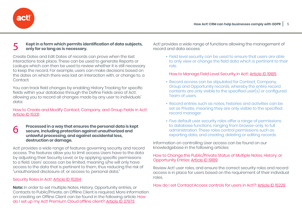

#### **Kept in a form which permits identification of data subjects, only for so long as is necessary.** 5

Create Dates and Edit Dates of records can prove when the last interactions took place. These can be used to generate Reports or Lookups which can then be used to review whether it is still necessary to keep the record. For example, users can make decisions based on the dates on which there was last an interaction with, or change to, a Contact.

You can track field changes by enabling History Tracking for specific fields within your database through the Define Fields area of Act!, allowing you to record all changes made by any user to individuals' data:

How to Create and Modify Contact, Company, and Group Fields in Act!: Article ID 15331

#### **Processed in a way that ensures the personal data is kept secure, including protection against unauthorized and unlawful processing, and against accidental loss, destruction or damage.** 6

Act! provides a wide range of features governing security and record access. The features allow you to limit access Users have to the data by adjusting their Security Level, or by applying specific permissions to a field. Users' access can be limited, meaning s/he will only have access to the data that is pertinent to them, thus reducing the risk of "unauthorized disclosure of, or access to, personal data."

#### Security Roles in Act!: Article ID 15284

**Note:** In order to set multiple Notes, History, Opportunity entries, or Contacts to Public/Private, an Offline Client is required. More information on creating an Offline Client can be found in the following article: How do I set up my Act! Premium Cloud offline client?: Article ID 37973

Act! provides a wide range of functions allowing the management of record and data access:

 • Field level security can be used to ensure that users are able to only view or change the field data which is pertinent to their role.

How to Manage Field Level Security in Act!: Article ID 19185

- Record access can be stipulated for Contact, Company, Group and Opportunity records, whereby the entire record contents are only visible to the specified user(s) or configured Team of users.
- Record entries such as notes, histories and activities can be set as Private, meaning they are only visible to the specified record manager.
- Five default user security roles offer a range of permissions to database functions, ranging from browse-only, to full administration. These roles control permissions such as exporting data, and creating, deleting or editing records.

Information on controlling User access can be found on our knowledgebase in the following articles:

#### How to Change the Public/Private Status of Multiple Notes, History, or Opportunity Entries: Article ID 19189

Review Act! user roles, and ensure the correct security roles and record access is in place for users based on the requirement of their individual roles.

How do I set Contact Access controls for users in Act!?: Article ID 15228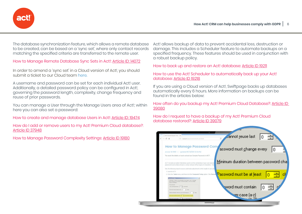

The database synchronization feature, which allows a remote database to be created, can be based on a 'sync set', where only contact records matching the specified criteria are transferred to the remote user.

How to Manage Remote Database Sync Sets in Act!: Article ID: 14072

In order to amend a 'sync set' in a Cloud version of Act!, you should submit a ticket to our Cloud team here.

A username and password can be set for each individual Act! user. Additionally, a detailed password policy can be configured in Act! governing the password length, complexity, change frequency and reuse of prior passwords.

You can manage a User through the Manage Users area of Act!; within here you can also set a password:

How to create and manage database Users in Act!: Article ID: 19474

How do I add or remove users to my Act! Premium Cloud database?: Article ID 37948

How to Manage Password Complexity Settings: Article ID 19180

Act! allows backup of data to prevent accidental loss, destruction or damage. This includes a Scheduler feature to automate backups on a specified frequency. These features should be used in conjunction with a robust backup policy.

How to back up and restore an Act! database: Article ID 19211

How to use the Act! Scheduler to automatically back up your Act! database: Article ID 19218

If you are using a Cloud version of Act!, Swiftpage backs up databases automatically every 6 hours. More information on backups can be found in the articles below:

How often do you backup my Act! Premium Cloud Database?: Article ID 39080

How do I request to have a backup of my Act! Premium Cloud database restored?: Article ID 39079

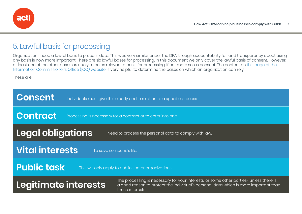

## 5. Lawful basis for processing

Organizations need a lawful basis to process data. This was very similar under the DPA, though accountability for, and transparency about using, any basis is now more important. There are six lawful bases for processing. In this document we only cover the lawful basis of consent. However, at least one of the other bases are likely to be as relevant a basis for processing, if not more so, as consent. The content on this page of the Information Commissioner's Office (ICO) website is very helpful to determine the bases on which an organization can rely.

These are:

| <b>Consent</b>           | Individuals must give this clearly and in relation to a specific process. |                                                                                                                                                                                                    |  |  |
|--------------------------|---------------------------------------------------------------------------|----------------------------------------------------------------------------------------------------------------------------------------------------------------------------------------------------|--|--|
| <b>Contract</b>          |                                                                           | Processing is necessary for a contract or to enter into one.                                                                                                                                       |  |  |
| <b>Legal obligations</b> |                                                                           | Need to process the personal data to comply with law.                                                                                                                                              |  |  |
| <b>Vital interests</b>   |                                                                           | To save someone's life.                                                                                                                                                                            |  |  |
| <b>Public task</b>       |                                                                           | This will only apply to public sector organizations.                                                                                                                                               |  |  |
| Legitimate interests     |                                                                           | The processing is necessary for your interests, or some other parties- unless there is<br>a good reason to protect the individual's personal data which is more important than<br>those interests. |  |  |
|                          |                                                                           |                                                                                                                                                                                                    |  |  |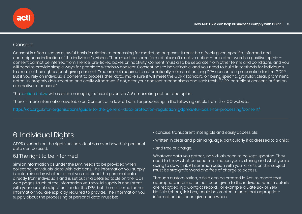## Consent

Consent is often used as a lawful basis in relation to processing for marketing purposes. It must be a freely given, specific, informed and unambiguous indication of the individual's wishes. There must be some form of clear affirmative action – or in other words, a positive opt-in – consent cannot be inferred from silence, pre-ticked boxes or inactivity. Consent must also be separate from other terms and conditions, and you will need to provide simple ways for people to withdraw consent. Consent has to be verifiable, and you need to build in methods for individuals to exercise their rights about giving consent. "You are not required to automatically refresh all existing DPA consents in preparation for the GDPR. But if you rely on individuals' consent to process their data, make sure it will meet the GDPR standard on being specific, granular, clear, prominent, opted-in, properly documented and easily withdrawn. If not, alter your consent mechanisms and seek fresh GDPR-compliant consent, or find an alternative to consent."

The section below will assist in managing consent given via Ac! emarketing opt out and opt in.

There is more information available on Consent as a lawful basis for processing in the following article from the ICO website:

https://ico.org.uk/for-organisations/guide-to-the-general-data-protection-regulation-gdpr/lawful-basis-for-processing/consent/

## 6. Individual Rights

GDPR expands on the rights an individual has over how their personal data can be used.

## 6.1 The right to be informed

Similar information as under the DPA needs to be provided when collecting individuals' data with additions. The information you supply is determined by whether or not you obtained the personal data directly from individuals and is set out in a detailed table on the ICOs web pages. Much of the information you should supply is consistent with your current obligations under the DPA, but there is some further information you are explicitly required to provide. The information you supply about the processing of personal data must be:

- concise, transparent, intelligible and easily accessible;
- written in clear and plain language, particularly if addressed to a child;
- and free of charge.

Whatever data you gather, individuals need to be kept updated. They need to know what personal information you're storing and what you're going to do with it. All communication with your clients on this subject must be straightforward and free of charge to access.

Through customization, a field can be created in Act! to record that appropriate information has been given to the individual whose details are recorded in a Contact record. For example a Date Box or Yes/ No field (check/tick box) could be created to note that appropriate information has been given, and when.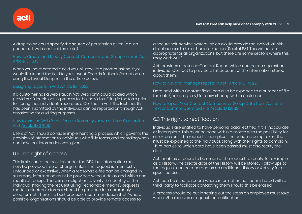

Article ID 15331

When you have created a field you will receive a prompt asking if you would like to add the field to your layout. There is further information on using the Layout Designer in the article below:

#### Designing Layouts in Act!: Article ID: 15332

act!

If a customer has a web site, an Act! Web Form could added which provides a 'double opt in' process to the individual filling in the form prior to storing that individual's record as a Contact in Act!. The fact that this has been submitted by the individual can be reported on through Act! emarketing for auditing purposes.

#### How to use the Web forms feature (formerly known as Lead Capture) in Act!: Article ID 37906

Users of Act! should consider implementing a process which governs the provision of information to individuals who fill in forms, and recording when and how that information was given.

### 6.2 The right of access

This is similar to the position under the DPA, but information must now be provided free of charge, unless the request is 'manifestly unfounded or excessive', when a reasonable fee can be charged. In summary, information must be provided without delay and within one month of receipt. There is an obligation to verify the identity of the individual making the request using "reasonable means". Requests made in electronic format should be provided in a commonly used format. There is a best practice recommendation that, "where possible, organizations should be able to provide remote access to

a secure self-service system which would provide the individual with direct access to his or her information (Recital 63). This will not be appropriate for all organizations, but there are some sectors where this may work well."

Act! provides a detailed Contact Report which can be run against an individual Contact to provide a full account of the information stored about them.

#### How to run and manage reports in Act!: Article ID 14022

Data held within Contact fields can also be exported to a number of file formats (including .csv) for easy sharing with a customer.

How to Export Your Contact, Company, or Group Data from Act! to a Text or Comma Delimited File: Article ID 13882

### 6.3 The right to rectification

Individuals are entitled to have personal data rectified if it is inaccurate or incomplete. This must be done within a month with the possibility for an extension if the request is complex. If no action is being taken, that must be explained to the individual, along with their rights to complain. Third parties to which data have been passed must also rectify the data.

Act! enables a record to be made of the request to rectify, for example as a History. The create date of the History will be stored. Follow ups to the request can be recorded as an additional History or Activity for a specified User.

Act! can be used to record where information has been shared with a third-party to facilitate contacting them should this be erased.

A process should be put in setting out the steps an employee must take when s/he receives a request for rectification.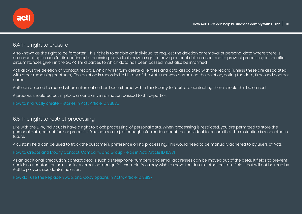

### 6.4 The right to erasure

Also known as the right to be forgotten. This right is to enable an individual to request the deletion or removal of personal data where there is no compelling reason for its continued processing. Individuals have a right to have personal data erased and to prevent processing in specific circumstances given in the GDPR. Third parties to which data has been passed must also be informed.

Act! allows the deletion of Contact records, which will in turn delete all entries and data associated with the record (unless these are associated with other remaining contacts). The deletion is recorded in History of the Act! user who performed the deletion, noting the date, time, and contact name.

Act! can be used to record where information has been shared with a third-party to facilitate contacting them should this be erased.

A process should be put in place around any information passed to third-parties.

How to manually create Histories in Act!: Article ID 38835

### 6.5 The right to restrict processing

Like with the DPA, individuals have a right to block processing of personal data. When processing is restricted, you are permitted to store the personal data, but not further process it. You can retain just enough information about the individual to ensure that the restriction is respected in future.

A custom field can be used to track the customer's preference on no processing. This would need to be manually adhered to by users of Act!.

How to Create and Modify Contact, Company, and Group Fields in Act!: Article ID 15331

As an additional precaution, contact details such as telephone numbers and email addresses can be moved out of the default fields to prevent accidental contact or inclusion in an email campaign for example. You may wish to move the data to other custom fields that will not be read by Act! to prevent accidental inclusion.

How do I use the Replace, Swap, and Copy options in Act!?: Article ID 38137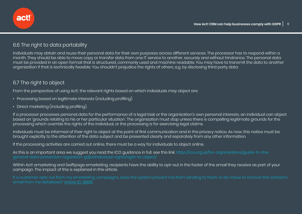

## 6.6 The right to data portability

Individuals may obtain and reuse their personal data for their own purposes across different services. The processor has to respond within a month. They should be able to move copy or transfer data from one IT service to another, securely and without hindrance. The personal data must be provided in an open format that is structured, commonly used and machine readable. You may have to transmit the data to another organization if that is technically feasible. You shouldn't prejudice the rights of others, e.g. by disclosing third party data.

### 6.7 The right to object

From the perspective of using Act!, the relevant rights based on which individuals may object are:

- Processing based on legitimate interests (including profiling)
- Direct marketing (including profiling).

If a processor processes personal data for the performance of a legal task or the organization's own personal interests, an individual can object based on 'grounds relating to his or her particular situation'. The organization must stop unless there is compelling legitimate grounds for the processing which override the rights of the individual, or the processing is for exercising legal claims.

Individuals must be informed of their right to object at the point of first communication and in the privacy notice. As now, this notice must be brought explicitly to the attention of the data subject and be presented clearly and separately from any other information.

If the processing activities are carried out online, there must be a way for individuals to object online.

As this is an important area we suggest you read the ICO guidance in full, see this link: https://ico.org.uk/for-organisations/guide-to-thegeneral-data-protection-regulation-gdpr/individual-rights/right-to-object/

Within Act! emarketing and Swiftpage emarketing, recipients have the ability to opt-out in the footer of the email they receive as part of your campaign. The impact of this is explained in this article.

email from my database?: Article ID: 38681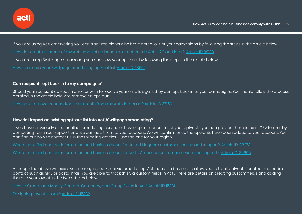

If you are using Act! emarketing you can track recipients who have opted-out of your campaigns by following the steps in the article below: How do I create a lookup of my Act! emarketing bounces or opt outs in Act! v17.2 and later?: Article ID 38139

If you are using Swiftpage emarketing you can view your opt-outs by following the steps in the article below:

How to access your Swiftpage emarketing opt-out list: Article ID 28591

#### **Can recipients opt back in to my campaigns?**

Should your recipient opt-out in error, or wish to receive your emails again, they can opt back in to your campaigns. You should follow the process detailed in the article below to remove an opt-out:

How can I remove bounced/opt-out emails from my Act! database?: Article ID 37150

#### **How do I import an existing opt-out list into Act!/Swiftpage emarketing?**

If you have previously used another emarketing service or have kept a manual list of your opt-outs you can provide them to us in CSV format by contacting Technical Support and we can add them to your account. We will confirm once the opt-outs have been added to your account. You can find out how to contact us in the following articles – use the one for your region.

Where can I find contact information and business hours for United Kingdom customer service and support?: Article ID: 38273

Where can I find contact information and business hours for North American customer service and support?: Article ID: 36696

Although the above will assist you managing opt-outs via emarketing, Act! can also be used to allow you to track opt-outs for other methods of contact such as SMS or postal mail. You are able to track this via custom fields in Act!. There are details on creating custom fields and adding them to your layout in the two articles below.

How to Create and Modify Contact, Company, and Group Fields in Act!: Article ID 15331

Designing Layouts in Act!: Article ID: 15332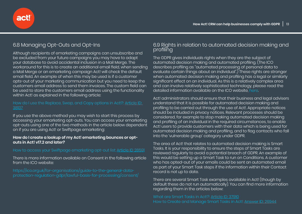

## 6.8 Managing Opt-Outs and Opt-Ins

Although recipients of emarketing campaigns can unsubscribe and be excluded from your future campaigns you may have to adapt your database to avoid accidental inclusion in a Mail Merge. The workaround for this is to create an additional email field, when sending a Mail Merge or an emarketing campaign Act! will check the default email field. An example of when this may be used is if a customer opts-out of your marketing communication but you need to keep the customers email address to send them invoices. The custom field can be used to store the customers email address using the functionality within Act! as explained in the following article:

#### How do I use the Replace, Swap, and Copy options in Act!?: Article ID: 38137

If you use the above method you may wish to start this process by accessing your emarketing opt-outs. You can access your emarketing opt-outs using one of the two methods in the article below dependent on if you are using Act! or Swiftpage emarketing:

#### **How do I create a lookup of my Act! emarketing bounces or optouts in Act! v17.2 and later?**

#### How to access your Swiftpage emarketing opt-out list: Article ID 28591

There is more information available on Consent in the following article from the ICO website:

protection-regulation-gdpr/lawful-basis-for-processing/consent/

### 6.9 Rights in relation to automated decision making and profiling

The GDPR gives individuals rights when they are the subject of automated decision making and automated profiling. (The ICO describes profiling as "automated processing of personal data to evaluate certain things about an individual".) These rights are stronger when automated decision making and profiling has a legal or similarly significant effect on an individual. As this is a relatively complex area and can involve relatively sophisticated technology, please read the detailed information available on the ICO website, here.

Act! administrators should ensure that their business and legal advisers understand that it is possible for automated decision making and profiling to be carried out through the use of Act!. Appropriate notices should be included in privacy notices. Relevant processes should be considered, for example to stop making automated decision making and profiling of an individual in the required circumstances, to enable Act! users to provide customers with their data which is being used for automated decision making and profiling, and to flag contacts who fall into the 'vulnerable group' category under GDPR.

The area of Act! that relates to automated decision making is Smart Tasks. It is your responsibility to ensure the steps of Smart Tasks are reviewed regularly to avoid a potential breach of GDPR. An example of this would be setting up a Smart Task to run on Conditions. A customer who has opted-out of your emails could be sent an automated email as part of your Smart Task steps if the information within their Contact record is not up to date.

There are several Smart Task examples available in Act! (though by default these do not run automatically). You can find more information regarding them in the articles below:

What are Smart Tasks in Act!?: Article ID: 37910 How to Create and Manage Smart Tasks in Act!: Answer ID: 26944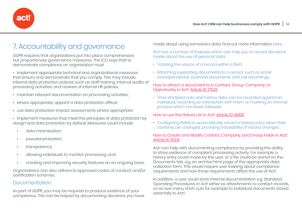

## 7. Accountability and governance

GDPR requires that organizations put into place comprehensive but proportionate governance measures. The ICO says that to demonstrate compliance an organization must:

• implement appropriate technical and organizational measures that ensure and demonstrate that you comply. This may include internal data protection policies such as staff training, internal audits of processing activities, and reviews of internal HR policies;

- maintain relevant documentation on processing activities;
- where appropriate, appoint a data protection officer;
- use data protection impact assessments where appropriate:

• implement measures that meet the principles of data protection by design and data protection by default. Measures could include:

- data minimisation;
- pseudonymisation;
- transparency;
- allowing individuals to monitor processing; and
- creating and improving security features on an ongoing basis.

Organizations can also adhere to approved codes of conduct and/or certification schemes.

### Documentation

As part of GDPR, you may be required to produce evidence of your compliance. This can be helped by documenting decisions you have made about using someone's data. Find out more information here.

Act! has a number of features which can help you to record decisions made about the use of personal data:

- Tracking the source of a record within a field
- Attaching supporting documents to a record, such as email correspondence, scanned documents and call recordings.

#### How to attach a document to a Contact, Group, Company, or Opportunity in Act!: Article ID 17526

• Time stamped note and history data can be recorded against an individual, recording an interaction with them, or marking an internal process which has been followed.

#### How to use the History List in Act!: Article ID 36109

• Configuring fields to automatically record a history entry when their contents are changed, providing traceability of record changes.

#### How to Create and Modify Contact, Company, and Group Fields in Act!: Article ID 15331

Act! can help with documenting compliance by providing the ability to store evidence of compliant processing activity. For example a history entry could made by the user, or a file could be stored on the Documents tab, e.g. an archive html page of the appropriate data collection form. This would require user training about compliance requirements and how those requirements affect the use of Act!.

In addition, a user could store internal documentation e.g. Standard Operating Procedures in Act! either as attachments to contact records, or as new menu short cuts for example to individual documents stored externally to Act!.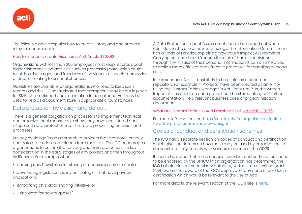

The following article explains how to create History and also attach a relevant document/file:

#### How to manually create Histories in Act!: Article ID 38835

Organizations with less than 250 employees must keep records about higher risk processing activities such as processing data which could: result in a risk to rights and freedoms of individuals; or special categories of data; or relating to criminal offences.

Guidelines are available for organizations who need to keep such records and the ICO has indicated that exemptions may be put in place for SMBs. As mentioned above in relation to compliance, Act! may be used to help as a document store in appropriate circumstances.

## Data protection by design and default

There is a general obligation on processors to implement technical and organizational measures to show they have considered and integrated data protection into their data processing activities and processes.

Privacy by design "is an approach to projects that promotes privacy and data protection compliance from the start... The ICO encourages organizations to ensure that privacy and data protection is a key consideration in the early stages of any project, and then throughout its lifecycle. For example when:

- building new IT systems for storing or accessing personal data;
- developing legislation, policy or strategies that have privacy implications;
- embarking on a data sharing initiative; or
- using data for new purposes."

A Data Protection Impact Assessment should be carried out when considering the use of new technology. The Information Commissioner has a Code of Practice explaining how to use Impact Assessments. Carrying out one should "reduce the risks of harm to individuals through the misuse of their personal information. It can also help you to design more efficient and effective processes for handling personal data."

In this scenario, Act! is most likely to be useful as a document repository. For example if "Projects" have been created as an entity using the Custom Tables Manager in Act! Premium Plus, the written Impact Assessment on each project can be stored along with other documentation, like a relevant business case or project initiation document.

#### What are Custom Tables in Act! Premium Plus?: Article ID: 38976

For more information see: https://ico.org.uk/for-organisations/guideto-data-protection/privacy-by-design/

## Codes of conduct and certification schemes

The ICO has a separate section on codes of conduct and certification which gives guidelines on how these may be used by organizations to demonstrate they comply with various elements of the GDPR.

It should be noted that these codes of conduct and certifications need to be endorsed by the UK ICO (if an organization has determined the ICO is their relevant supervisory authority). At the time of writing (April 2018) we are not aware of the ICO's approval of any code of conduct or certification which would be relevant to the use of Act!

For more details, the relevant section of the ICO's site is here.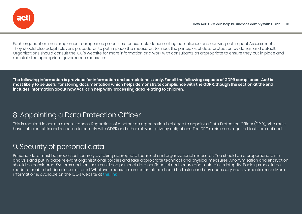

Each organization must implement compliance processes, for example documenting compliance and carrying out Impact Assessments. They should also adopt relevant procedures to put in place the measures, to meet the principles of data protection by design and default. Organizations should consult the ICO's website for more information and work with consultants as appropriate to ensure they put in place and maintain the appropriate governance measures.

**The following information is provided for information and completeness only. For all the following aspects of GDPR compliance, Act! is most likely to be useful for storing documentation which helps demonstrate compliance with the GDPR, though the section at the end includes information about how Act! can help with processing data relating to children.** 

## 8. Appointing a Data Protection Officer

This is required in certain circumstances. Regardless of whether an organization is obliged to appoint a Data Protection Officer (DPO), s/he must have sufficient skills and resource to comply with GDPR and other relevant privacy obligations. The DPO's minimum required tasks are defined.

## 9. Security of personal data

Personal data must be processed securely by taking appropriate technical and organizational measures. You should do a proportionate risk analysis and put in place relevant organizational policies and take appropriate technical and physical measures. Anonymisation and encryption should be considered. Systems and services must keep personal data confidential and secure and maintain its integrity. Back-ups should be made to enable lost data to be restored. Whatever measures are put in place should be tested and any necessary improvements made. More information is available on the ICO's website at this link.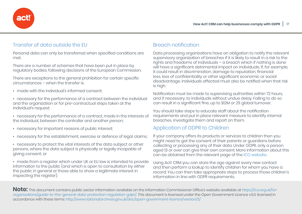

## Transfer of data outside the EU

Personal data can only be transferred when specified conditions are met.

There are a number of schemes that have been put in place by regulatory bodies, following decisions of the European Commission.

There are exceptions to the general prohibition for certain specific circumstances – when the transfer is:

- made with the individual's informed consent;
- necessary for the performance of a contract between the individual and the organization or for pre-contractual steps taken at the individual's request;
- necessary for the performance of a contract, made in the interests of the individual, between the controller and another person;
- necessary for important reasons of public interest;
- necessary for the establishment, exercise or defence of legal claims;
- necessary to protect the vital interests of the data subject or other persons, where the data subject is physically or legally incapable of giving consent; or

• made from a register which under UK or EU law is intended to provide information to the public (and which is open to consultation by either the public in general or those able to show a legitimate interest in inspecting the register).

## Breach notification

Data processing organizations have an obligation to notify the relevant supervisory organization of breaches if it is likely to result in a risk to the rights and freedoms of individuals – a breach which if nothing is done will have a significant detrimental impact on individuals. If, for example, it could result in discrimination, damage to reputation, financial loss, loss of confidentiality or other significant economic or social disadvantage. Individuals affected must also be notified when that risk is high.

Notification must be made to supervising authorities within 72 hours, and if necessary, to individuals without undue delay. Failing to do so can result in a significant fine, up to \$12M or 2% global turnover.

You should take steps to educate staff about the notification requirements and put in place relevant measure to identify internal breaches, investigate them and report on them.

### Application of GDPR to Children

If your company offers its products or services to children then you might need to get the consent of their parents or guardians before collecting or processing any of their data. Under GDPR, only a person aged 13 or over can give their own consent. More information about this can be obtained from the relevant page of the ICO website.

Using Act! CRM you can store the age against every new contact and then perform a lookup to identify children for whom you have a record. You can then take appropriate steps to process those children's information in line with GDPR requirements.

**Note:** This document contains public sector information available on the Information Commissioner Office's website available at https://ico.org.uk/fororganisations/guide-to-the-general-data-protection-regulation-gdpr/. This document is licensed under the Open Government Licence v3.0. licensed in accordance with these terms: http://www.nationalarchives.gov.uk/doc/open-government-licence/version/3/